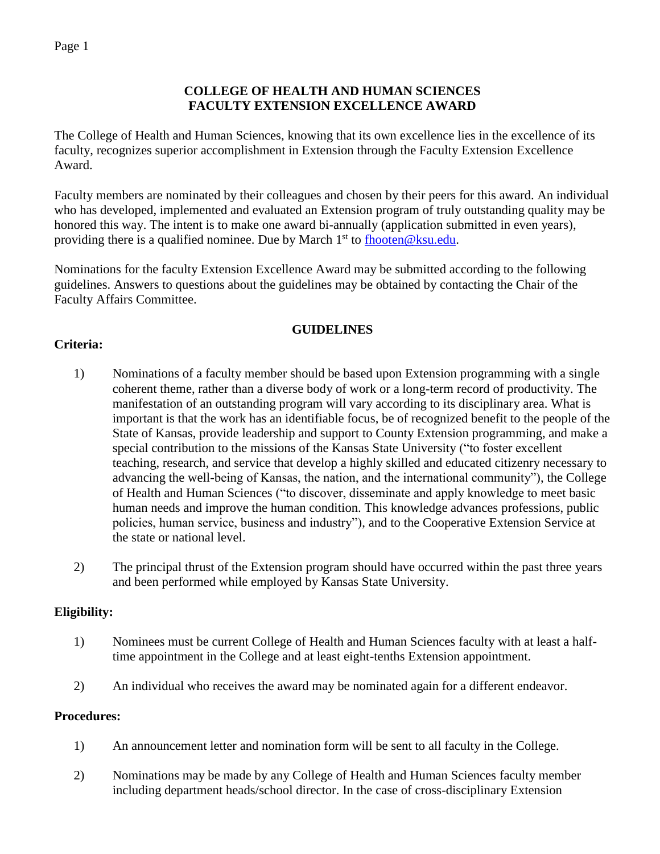### **COLLEGE OF HEALTH AND HUMAN SCIENCES FACULTY EXTENSION EXCELLENCE AWARD**

The College of Health and Human Sciences, knowing that its own excellence lies in the excellence of its faculty, recognizes superior accomplishment in Extension through the Faculty Extension Excellence Award.

Faculty members are nominated by their colleagues and chosen by their peers for this award. An individual who has developed, implemented and evaluated an Extension program of truly outstanding quality may be honored this way. The intent is to make one award bi-annually (application submitted in even years), providing there is a qualified nominee. Due by March 1<sup>st</sup> to [fhooten@ksu.edu.](mailto:fhooten@ksu.edu)

Nominations for the faculty Extension Excellence Award may be submitted according to the following guidelines. Answers to questions about the guidelines may be obtained by contacting the Chair of the Faculty Affairs Committee.

#### **GUIDELINES**

## **Criteria:**

- 1) Nominations of a faculty member should be based upon Extension programming with a single coherent theme, rather than a diverse body of work or a long-term record of productivity. The manifestation of an outstanding program will vary according to its disciplinary area. What is important is that the work has an identifiable focus, be of recognized benefit to the people of the State of Kansas, provide leadership and support to County Extension programming, and make a special contribution to the missions of the Kansas State University ("to foster excellent teaching, research, and service that develop a highly skilled and educated citizenry necessary to advancing the well-being of Kansas, the nation, and the international community"), the College of Health and Human Sciences ("to discover, disseminate and apply knowledge to meet basic human needs and improve the human condition. This knowledge advances professions, public policies, human service, business and industry"), and to the Cooperative Extension Service at the state or national level.
- 2) The principal thrust of the Extension program should have occurred within the past three years and been performed while employed by Kansas State University.

## **Eligibility:**

- 1) Nominees must be current College of Health and Human Sciences faculty with at least a halftime appointment in the College and at least eight-tenths Extension appointment.
- 2) An individual who receives the award may be nominated again for a different endeavor.

## **Procedures:**

- 1) An announcement letter and nomination form will be sent to all faculty in the College.
- 2) Nominations may be made by any College of Health and Human Sciences faculty member including department heads/school director. In the case of cross-disciplinary Extension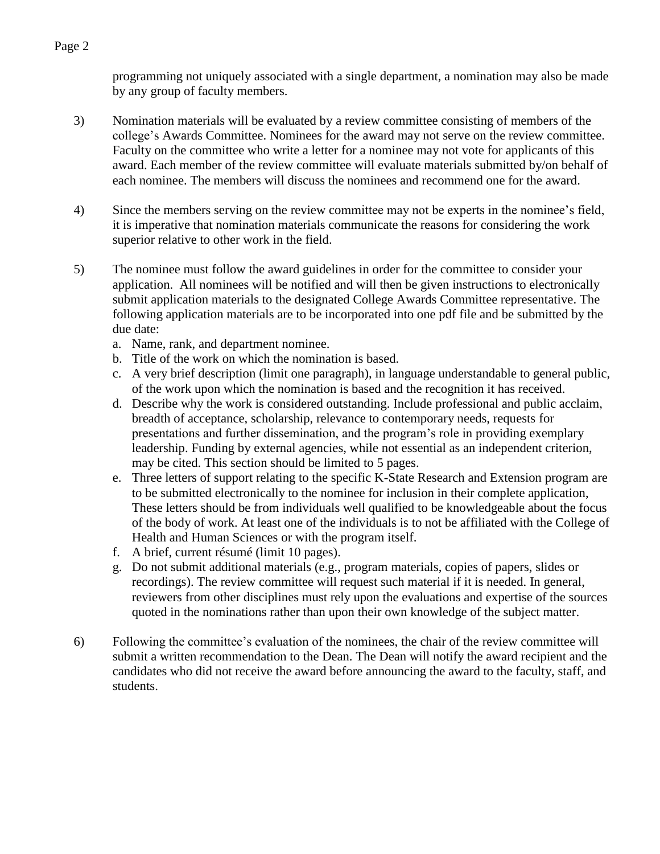programming not uniquely associated with a single department, a nomination may also be made by any group of faculty members.

- 3) Nomination materials will be evaluated by a review committee consisting of members of the college's Awards Committee. Nominees for the award may not serve on the review committee. Faculty on the committee who write a letter for a nominee may not vote for applicants of this award. Each member of the review committee will evaluate materials submitted by/on behalf of each nominee. The members will discuss the nominees and recommend one for the award.
- 4) Since the members serving on the review committee may not be experts in the nominee's field, it is imperative that nomination materials communicate the reasons for considering the work superior relative to other work in the field.
- 5) The nominee must follow the award guidelines in order for the committee to consider your application. All nominees will be notified and will then be given instructions to electronically submit application materials to the designated College Awards Committee representative. The following application materials are to be incorporated into one pdf file and be submitted by the due date:
	- a. Name, rank, and department nominee.
	- b. Title of the work on which the nomination is based.
	- c. A very brief description (limit one paragraph), in language understandable to general public, of the work upon which the nomination is based and the recognition it has received.
	- d. Describe why the work is considered outstanding. Include professional and public acclaim, breadth of acceptance, scholarship, relevance to contemporary needs, requests for presentations and further dissemination, and the program's role in providing exemplary leadership. Funding by external agencies, while not essential as an independent criterion, may be cited. This section should be limited to 5 pages.
	- e. Three letters of support relating to the specific K-State Research and Extension program are to be submitted electronically to the nominee for inclusion in their complete application, These letters should be from individuals well qualified to be knowledgeable about the focus of the body of work. At least one of the individuals is to not be affiliated with the College of Health and Human Sciences or with the program itself.
	- f. A brief, current résumé (limit 10 pages).
	- g. Do not submit additional materials (e.g., program materials, copies of papers, slides or recordings). The review committee will request such material if it is needed. In general, reviewers from other disciplines must rely upon the evaluations and expertise of the sources quoted in the nominations rather than upon their own knowledge of the subject matter.
- 6) Following the committee's evaluation of the nominees, the chair of the review committee will submit a written recommendation to the Dean. The Dean will notify the award recipient and the candidates who did not receive the award before announcing the award to the faculty, staff, and students.

#### Page 2